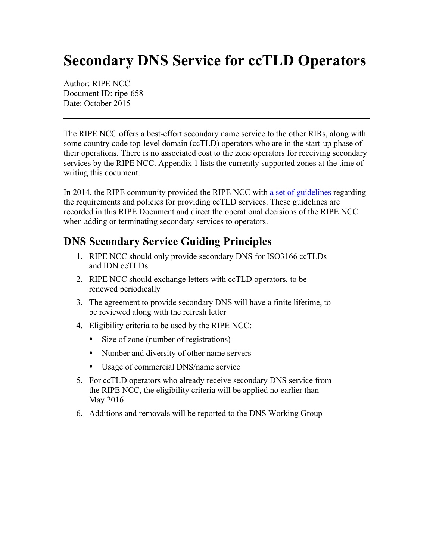## **Secondary DNS Service for ccTLD Operators**

Author: RIPE NCC Document ID: ripe-658 Date: October 2015

The RIPE NCC offers a best-effort secondary name service to the other RIRs, along with some country code top-level domain (ccTLD) operators who are in the start-up phase of their operations. There is no associated cost to the zone operators for receiving secondary services by the RIPE NCC. Appendix 1 lists the currently supported zones at the time of writing this document.

In 2014, the RIPE community provided the RIPE NCC with [a set of guidelines](https://ripe68.ripe.net/presentations/298-Koch-Action-67-1.pdf) regarding the requirements and policies for providing ccTLD services. These guidelines are recorded in this RIPE Document and direct the operational decisions of the RIPE NCC when adding or terminating secondary services to operators.

## **DNS Secondary Service Guiding Principles**

- 1. RIPE NCC should only provide secondary DNS for ISO3166 ccTLDs and IDN ccTLDs
- 2. RIPE NCC should exchange letters with ccTLD operators, to be renewed periodically
- 3. The agreement to provide secondary DNS will have a finite lifetime, to be reviewed along with the refresh letter
- 4. Eligibility criteria to be used by the RIPE NCC:
	- Size of zone (number of registrations)
	- Number and diversity of other name servers
	- Usage of commercial DNS/name service
- 5. For ccTLD operators who already receive secondary DNS service from the RIPE NCC, the eligibility criteria will be applied no earlier than May 2016
- 6. Additions and removals will be reported to the DNS Working Group